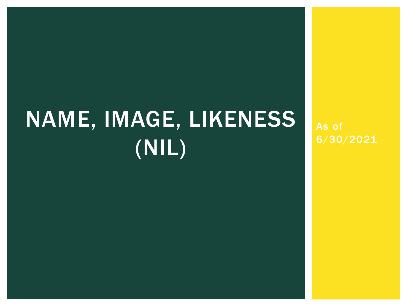# NAME, IMAGE, LIKENESS (NIL)

As of 6/30/2021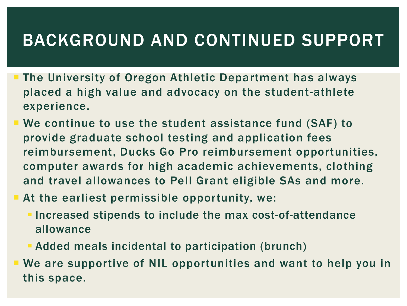#### BACKGROUND AND CONTINUED SUPPORT

- The University of Oregon Athletic Department has always placed a high value and advocacy on the student-athlete experience.
- We continue to use the student assistance fund (SAF) to provide graduate school testing and application fees reimbursement, Ducks Go Pro reimbursement opportunities, computer awards for high academic achievements, clothing and travel allowances to Pell Grant eligible SAs and more.
- At the earliest permissible opportunity, we:
	- **Increased stipends to include the max cost-of-attendance** allowance
	- Added meals incidental to participation (brunch)
- We are supportive of NIL opportunities and want to help you in this space.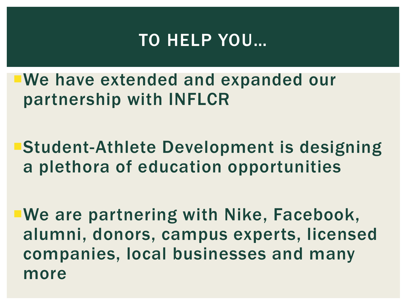#### TO HELP YOU…

We have extended and expanded our partnership with INFLCR

Student-Athlete Development is designing a plethora of education opportunities

We are partnering with Nike, Facebook, alumni, donors, campus experts, licensed companies, local businesses and many more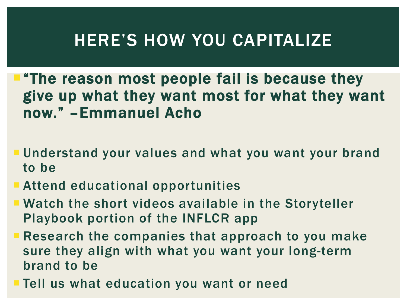#### HERE'S HOW YOU CAPITALIZE

"The reason most people fail is because they give up what they want most for what they want now." –Emmanuel Acho

- Understand your values and what you want your brand to be
- Attend educational opportunities
- Watch the short videos available in the Storyteller Playbook portion of the INFLCR app
- **Research the companies that approach to you make** sure they align with what you want your long-term brand to be
- **Tell us what education you want or need**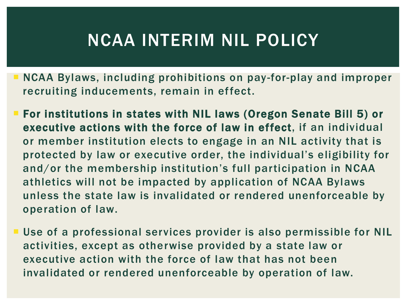### NCAA INTERIM NIL POLICY

- NCAA Bylaws, including prohibitions on pay-for-play and improper recruiting inducements, remain in effect.
- For institutions in states with NIL laws (Oregon Senate Bill 5) or executive actions with the force of law in effect, if an individual or member institution elects to engage in an NIL activity that is protected by law or executive order, the individual's eligibility for and/or the membership institution's full participation in NCAA athletics will not be impacted by application of NCAA Bylaws unless the state law is invalidated or rendered unenforceable by operation of law.
- **Use of a professional services provider is also permissible for NIL** activities, except as otherwise provided by a state law or executive action with the force of law that has not been invalidated or rendered unenforceable by operation of law.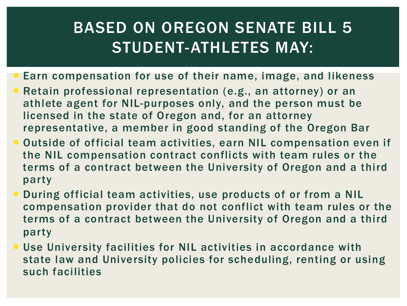#### BASED ON OREGON SENATE BILL 5 STUDENT-ATHLETES MAY:

- Earn compensation for use of their name, image, and likeness
- Retain professional representation (e.g., an attorney) or an athlete agent for NIL-purposes only, and the person must be licensed in the state of Oregon and, for an attorney representative, a member in good standing of the Oregon Bar
- Outside of official team activities, earn NIL compensation even if the NIL compensation contract conflicts with team rules or the terms of a contract between the University of Oregon and a third party
- During official team activities, use products of or from a NIL compensation provider that do not conflict with team rules or the terms of a contract between the University of Oregon and a third party
- **Use University facilities for NIL activities in accordance with** state law and University policies for scheduling, renting or using such facilities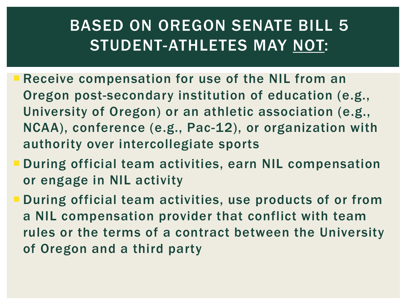#### BASED ON OREGON SENATE BILL 5 STUDENT-ATHLETES MAY NOT:

- Receive compensation for use of the NIL from an Oregon post-secondary institution of education (e.g., University of Oregon) or an athletic association (e.g., NCAA), conference (e.g., Pac-12), or organization with authority over intercollegiate sports
- During official team activities, earn NIL compensation or engage in NIL activity
- During official team activities, use products of or from a NIL compensation provider that conflict with team rules or the terms of a contract between the University of Oregon and a third party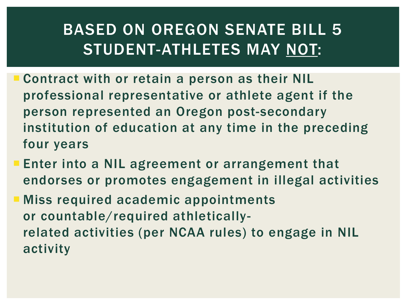#### BASED ON OREGON SENATE BILL 5 STUDENT-ATHLETES MAY NOT:

- Contract with or retain a person as their NIL professional representative or athlete agent if the person represented an Oregon post-secondary institution of education at any time in the preceding four years
- **Enter into a NIL agreement or arrangement that** endorses or promotes engagement in illegal activities
- **Miss required academic appointments** or countable/required athleticallyrelated activities (per NCAA rules) to engage in NIL activity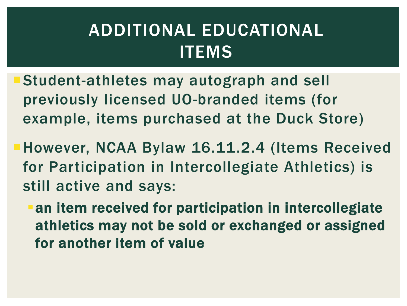## ADDITIONAL EDUCATIONAL **ITEMS**

- Student-athletes may autograph and sell previously licensed UO-branded items (for example, items purchased at the Duck Store)
- However, NCAA Bylaw 16.11.2.4 (Items Received for Participation in Intercollegiate Athletics) is still active and says:
	- an item received for participation in intercollegiate athletics may not be sold or exchanged or assigned for another item of value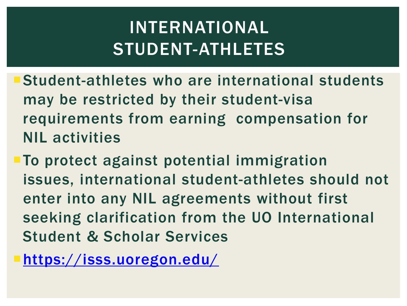# INTERNATIONAL STUDENT-ATHLETES

- Student-athletes who are international students may be restricted by their student-visa requirements from earning compensation for NIL activities
- **To protect against potential immigration** issues, international student-athletes should not enter into any NIL agreements without first seeking clarification from the UO International Student & Scholar Services

<https://isss.uoregon.edu/>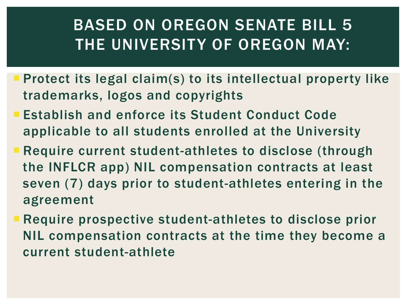#### BASED ON OREGON SENATE BILL 5 THE UNIVERSITY OF OREGON MAY:

- Protect its legal claim(s) to its intellectual property like trademarks, logos and copyrights
- Establish and enforce its Student Conduct Code applicable to all students enrolled at the University
- **Require current student-athletes to disclose (through** the INFLCR app) NIL compensation contracts at least seven (7) days prior to student-athletes entering in the agreement
- Require prospective student-athletes to disclose prior NIL compensation contracts at the time they become a current student-athlete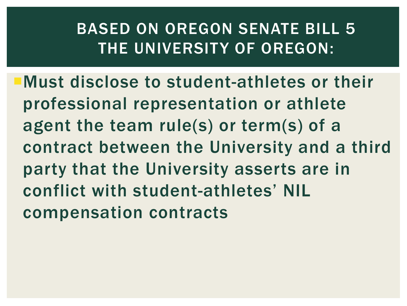#### BASED ON OREGON SENATE BILL 5 THE UNIVERSITY OF OREGON:

Must disclose to student-athletes or their professional representation or athlete agent the team rule(s) or term(s) of a contract between the University and a third party that the University asserts are in conflict with student-athletes' NIL compensation contracts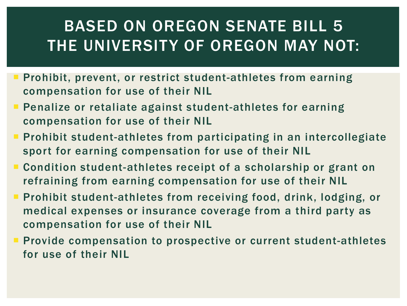#### BASED ON OREGON SENATE BILL 5 THE UNIVERSITY OF OREGON MAY NOT:

- Prohibit, prevent, or restrict student-athletes from earning compensation for use of their NIL
- Penalize or retaliate against student-athletes for earning compensation for use of their NIL
- **Prohibit student-athletes from participating in an intercollegiate** sport for earning compensation for use of their NIL
- Condition student-athletes receipt of a scholarship or grant on refraining from earning compensation for use of their NIL
- **Prohibit student-athletes from receiving food, drink, lodging, or** medical expenses or insurance coverage from a third party as compensation for use of their NIL
- **Provide compensation to prospective or current student-athletes** for use of their NIL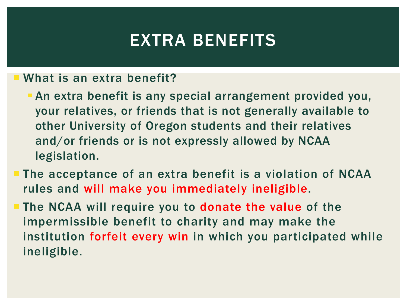#### EXTRA BENEFITS

#### What is an extra benefit?

- An extra benefit is any special arrangement provided you, your relatives, or friends that is not generally available to other University of Oregon students and their relatives and/or friends or is not expressly allowed by NCAA legislation.
- **The acceptance of an extra benefit is a violation of NCAA** rules and will make you immediately ineligible.
- **The NCAA will require you to donate the value of the** impermissible benefit to charity and may make the institution forfeit every win in which you participated while ineligible.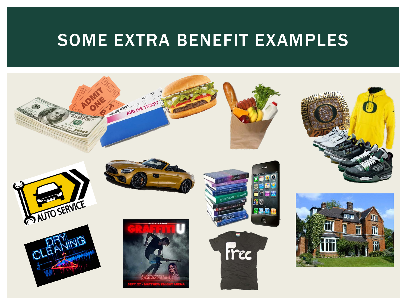#### SOME EXTRA BENEFIT EXAMPLES

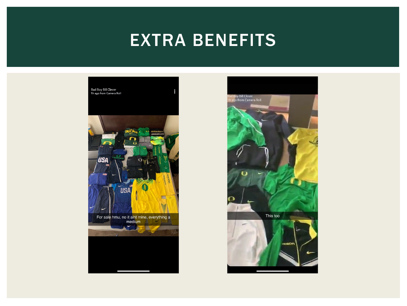#### EXTRA BENEFITS



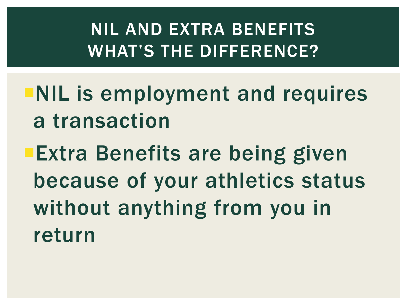# NIL AND EXTRA BENEFITS WHAT'S THE DIFFERENCE?

- NIL is employment and requires a transaction
- **Extra Benefits are being given** because of your athletics status without anything from you in return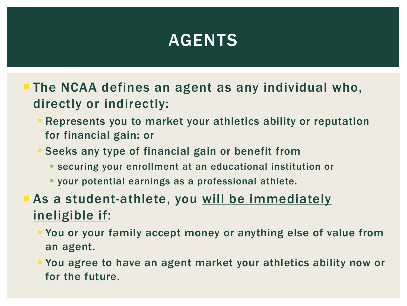### AGENTS

- **The NCAA defines an agent as any individual who,** directly or indirectly:
	- Represents you to market your athletics ability or reputation for financial gain; or
	- Seeks any type of financial gain or benefit from
		- securing your enrollment at an educational institution or
		- your potential earnings as a professional athlete.
- **As a student-athlete, you will be immediately** ineligible if:
	- You or your family accept money or anything else of value from an agent.
	- You agree to have an agent market your athletics ability now or for the future.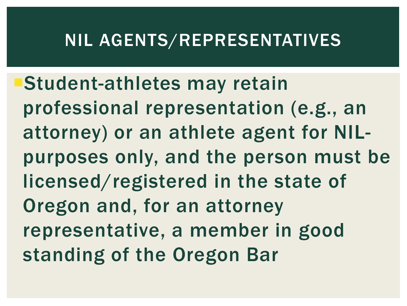#### NIL AGENTS/REPRESENTATIVES

Student-athletes may retain professional representation (e.g., an attorney) or an athlete agent for NILpurposes only, and the person must be licensed/registered in the state of Oregon and, for an attorney representative, a member in good standing of the Oregon Bar